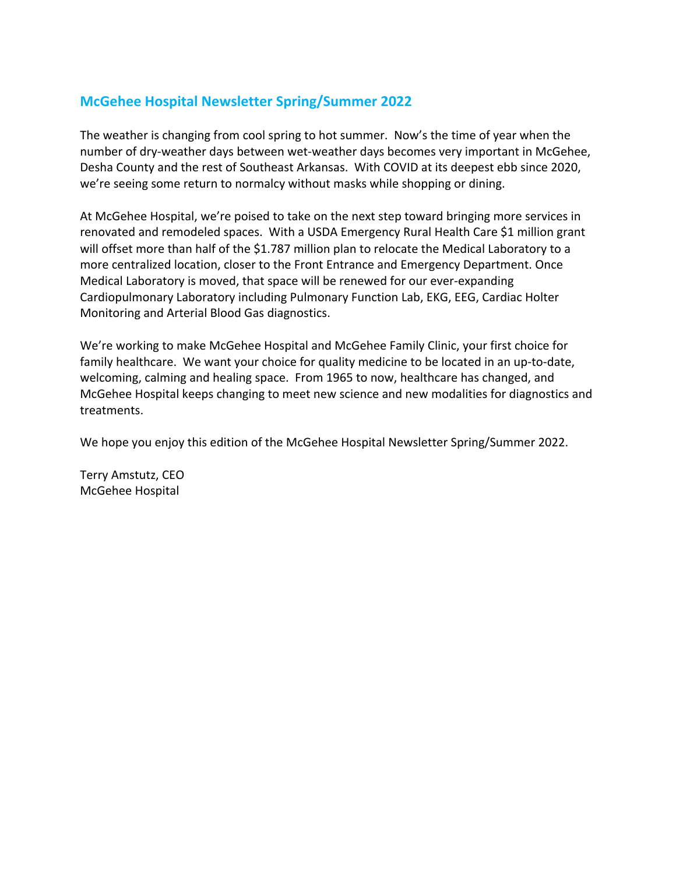#### **McGehee Hospital Newsletter Spring/Summer 2022**

The weather is changing from cool spring to hot summer. Now's the time of year when the number of dry-weather days between wet-weather days becomes very important in McGehee, Desha County and the rest of Southeast Arkansas. With COVID at its deepest ebb since 2020, we're seeing some return to normalcy without masks while shopping or dining.

At McGehee Hospital, we're poised to take on the next step toward bringing more services in renovated and remodeled spaces. With a USDA Emergency Rural Health Care \$1 million grant will offset more than half of the \$1.787 million plan to relocate the Medical Laboratory to a more centralized location, closer to the Front Entrance and Emergency Department. Once Medical Laboratory is moved, that space will be renewed for our ever-expanding Cardiopulmonary Laboratory including Pulmonary Function Lab, EKG, EEG, Cardiac Holter Monitoring and Arterial Blood Gas diagnostics.

We're working to make McGehee Hospital and McGehee Family Clinic, your first choice for family healthcare. We want your choice for quality medicine to be located in an up-to-date, welcoming, calming and healing space. From 1965 to now, healthcare has changed, and McGehee Hospital keeps changing to meet new science and new modalities for diagnostics and treatments.

We hope you enjoy this edition of the McGehee Hospital Newsletter Spring/Summer 2022.

Terry Amstutz, CEO McGehee Hospital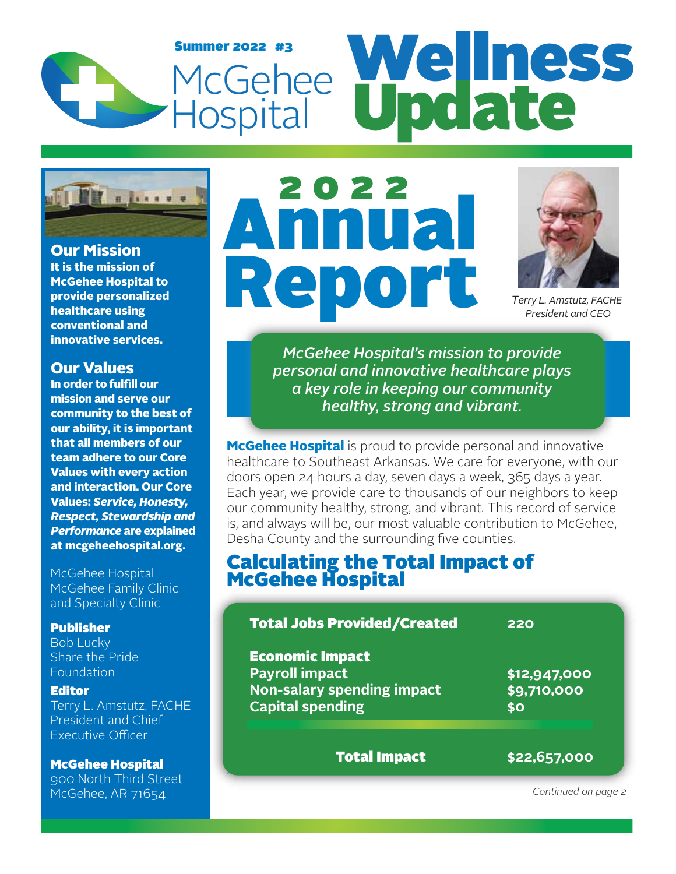## Summer 2022 #3<br>McGehee Wellness McGehee<br>Hospital Summer 2022 #3 Update



**Our Mission** It is the mission of McGehee Hospital to provide personalized healthcare using conventional and innovative services.

#### Our Values

In order to fulfill our mission and serve our community to the best of our ability, it is important that all members of our team adhere to our Core Values with every action and interaction. Our Core Values: *Service, Honesty, Respect, Stewardship and Performance* are explained at mcgeheehospital.org.

McGehee Hospital McGehee Family Clinic and Specialty Clinic

#### Publisher

Bob Lucky Share the Pride Foundation

#### **Editor**

Terry L. Amstutz, FACHE President and Chief Executive Officer

#### McGehee Hospital

900 North Third Street McGehee, AR 71654

.

# Annual epo 2022



*Terry L. Amstutz, FACHE President and CEO*

*McGehee Hospital's mission to provide personal and innovative healthcare plays a key role in keeping our community healthy, strong and vibrant.*

**McGehee Hospital** is proud to provide personal and innovative healthcare to Southeast Arkansas. We care for everyone, with our doors open 24 hours a day, seven days a week, 365 days a year. Each year, we provide care to thousands of our neighbors to keep our community healthy, strong, and vibrant. This record of service is, and always will be, our most valuable contribution to McGehee, Desha County and the surrounding five counties.

### Calculating the Total Impact of McGehee Hospital

| <b>Total Jobs Provided/Created</b>                                                                       | 220                                |
|----------------------------------------------------------------------------------------------------------|------------------------------------|
| <b>Economic Impact</b><br><b>Payroll impact</b><br>Non-salary spending impact<br><b>Capital spending</b> | \$12,947,000<br>\$9,710,000<br>\$0 |
| <b>Total Impact</b>                                                                                      | \$22,657,000                       |

 *Continued on page 2*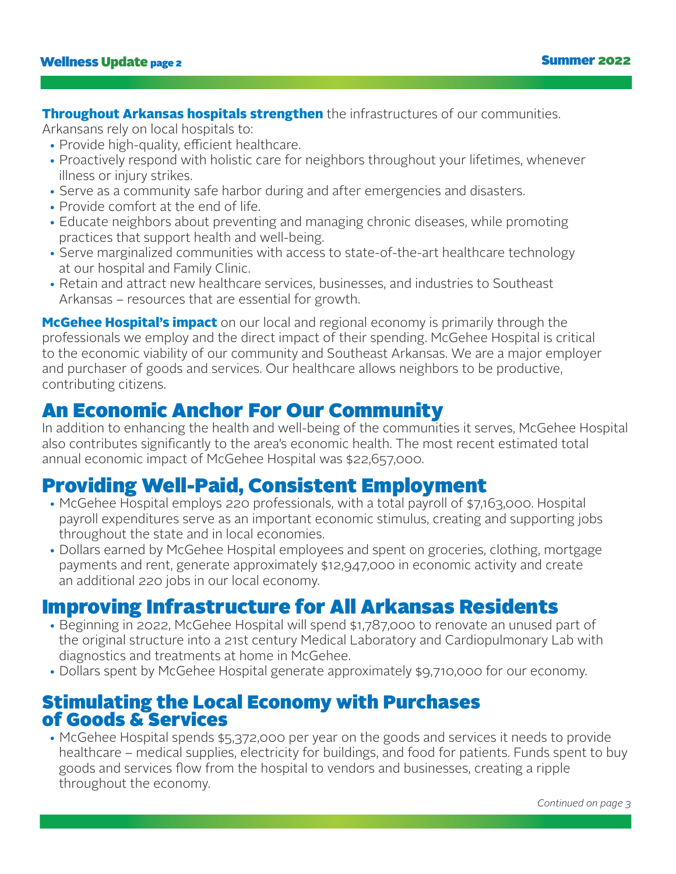**Throughout Arkansas hospitals strengthen** the infrastructures of our communities.

Arkansans rely on local hospitals to:

- Provide high-quality, efficient healthcare.
- Proactively respond with holistic care for neighbors throughout your lifetimes, whenever illness or injury strikes.
- Serve as a community safe harbor during and after emergencies and disasters.
- Provide comfort at the end of life.
- Educate neighbors about preventing and managing chronic diseases, while promoting practices that support health and well-being.
- Serve marginalized communities with access to state-of-the-art healthcare technology at our hospital and Family Clinic.
- Retain and attract new healthcare services, businesses, and industries to Southeast Arkansas – resources that are essential for growth.

**McGehee Hospital's impact** on our local and regional economy is primarily through the professionals we employ and the direct impact of their spending. McGehee Hospital is critical to the economic viability of our community and Southeast Arkansas. We are a major employer and purchaser of goods and services. Our healthcare allows neighbors to be productive, contributing citizens.

### An Economic Anchor For Our Community

In addition to enhancing the health and well-being of the communities it serves, McGehee Hospital also contributes significantly to the area's economic health. The most recent estimated total annual economic impact of McGehee Hospital was \$22,657,000.

## Providing Well-Paid, Consistent Employment

- McGehee Hospital employs 220 professionals, with a total payroll of \$7,163,000. Hospital payroll expenditures serve as an important economic stimulus, creating and supporting jobs throughout the state and in local economies.
- Dollars earned by McGehee Hospital employees and spent on groceries, clothing, mortgage payments and rent, generate approximately \$12,947,000 in economic activity and create an additional 220 jobs in our local economy.

### Improving Infrastructure for All Arkansas Residents

- Beginning in 2022, McGehee Hospital will spend \$1,787,000 to renovate an unused part of the original structure into a 21st century Medical Laboratory and Cardiopulmonary Lab with diagnostics and treatments at home in McGehee.
- Dollars spent by McGehee Hospital generate approximately \$9,710,000 for our economy.

### Stimulating the Local Economy with Purchases of Goods & Services

 • McGehee Hospital spends \$5,372,000 per year on the goods and services it needs to provide healthcare – medical supplies, electricity for buildings, and food for patients. Funds spent to buy goods and services flow from the hospital to vendors and businesses, creating a ripple throughout the economy.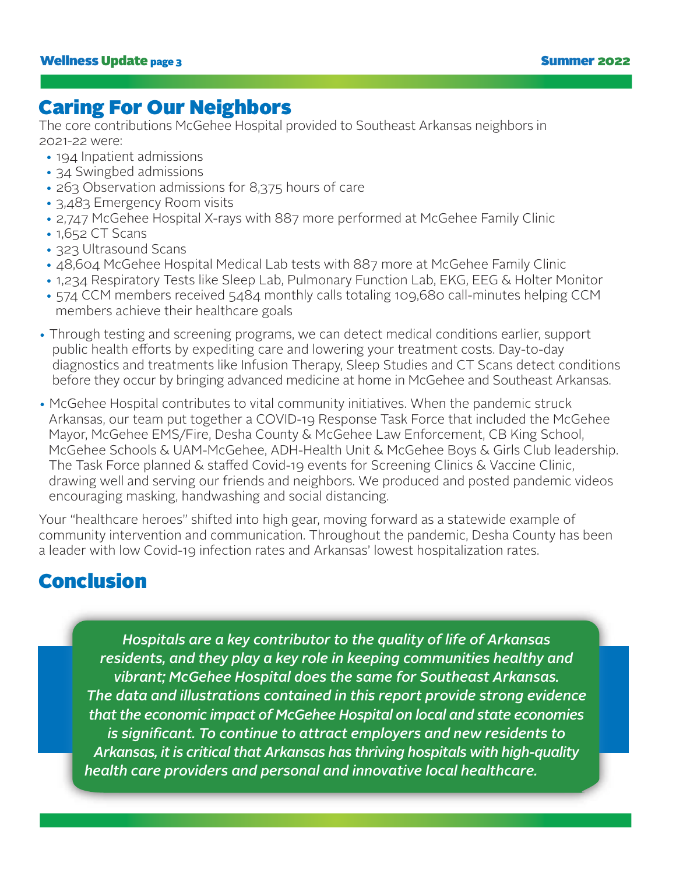### Caring For Our Neighbors

The core contributions McGehee Hospital provided to Southeast Arkansas neighbors in 2021-22 were:

- 194 Inpatient admissions
- 34 Swingbed admissions
- 263 Observation admissions for 8,375 hours of care
- 3,483 Emergency Room visits
- 2,747 McGehee Hospital X-rays with 887 more performed at McGehee Family Clinic
- 1,652 CT Scans
- 323 Ultrasound Scans
- 48,604 McGehee Hospital Medical Lab tests with 887 more at McGehee Family Clinic
- 1,234 Respiratory Tests like Sleep Lab, Pulmonary Function Lab, EKG, EEG & Holter Monitor
- 574 CCM members received 5484 monthly calls totaling 109,680 call-minutes helping CCM members achieve their healthcare goals
- Through testing and screening programs, we can detect medical conditions earlier, support public health efforts by expediting care and lowering your treatment costs. Day-to-day diagnostics and treatments like Infusion Therapy, Sleep Studies and CT Scans detect conditions before they occur by bringing advanced medicine at home in McGehee and Southeast Arkansas.
- McGehee Hospital contributes to vital community initiatives. When the pandemic struck Arkansas, our team put together a COVID-19 Response Task Force that included the McGehee Mayor, McGehee EMS/Fire, Desha County & McGehee Law Enforcement, CB King School, McGehee Schools & UAM-McGehee, ADH-Health Unit & McGehee Boys & Girls Club leadership. The Task Force planned & staffed Covid-19 events for Screening Clinics & Vaccine Clinic, drawing well and serving our friends and neighbors. We produced and posted pandemic videos encouraging masking, handwashing and social distancing.

Your "healthcare heroes" shifted into high gear, moving forward as a statewide example of community intervention and communication. Throughout the pandemic, Desha County has been a leader with low Covid-19 infection rates and Arkansas' lowest hospitalization rates.

### Conclusion

*Hospitals are a key contributor to the quality of life of Arkansas residents, and they play a key role in keeping communities healthy and vibrant; McGehee Hospital does the same for Southeast Arkansas. The data and illustrations contained in this report provide strong evidence that the economic impact of McGehee Hospital on local and state economies* is significant. To continue to attract employers and new residents to *Arkansas, it is critical that Arkansas has thriving hospitals with high-quality health care providers and personal and innovative local healthcare.*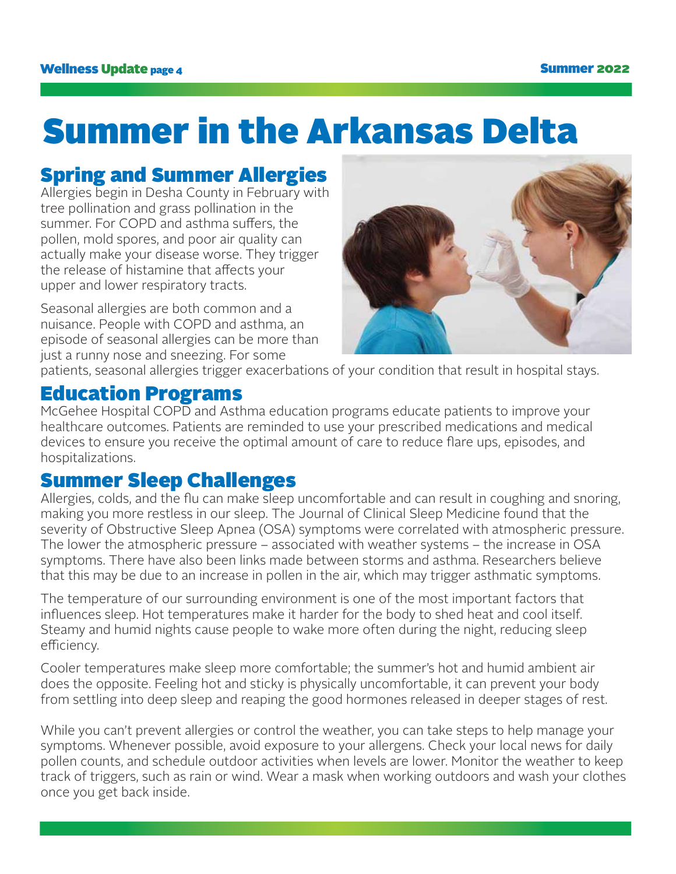## Summer in the Arkansas Delta

## Spring and Summer Allergies

Allergies begin in Desha County in February with tree pollination and grass pollination in the summer. For COPD and asthma suffers, the pollen, mold spores, and poor air quality can actually make your disease worse. They trigger the release of histamine that affects your upper and lower respiratory tracts.

Seasonal allergies are both common and a nuisance. People with COPD and asthma, an episode of seasonal allergies can be more than just a runny nose and sneezing. For some



patients, seasonal allergies trigger exacerbations of your condition that result in hospital stays.

### Education Programs

McGehee Hospital COPD and Asthma education programs educate patients to improve your healthcare outcomes. Patients are reminded to use your prescribed medications and medical devices to ensure you receive the optimal amount of care to reduce flare ups, episodes, and hospitalizations.

### Summer Sleep Challenges

Allergies, colds, and the flu can make sleep uncomfortable and can result in coughing and snoring, making you more restless in our sleep. The Journal of Clinical Sleep Medicine found that the severity of Obstructive Sleep Apnea (OSA) symptoms were correlated with atmospheric pressure. The lower the atmospheric pressure – associated with weather systems – the increase in OSA symptoms. There have also been links made between storms and asthma. Researchers believe that this may be due to an increase in pollen in the air, which may trigger asthmatic symptoms.

The temperature of our surrounding environment is one of the most important factors that influences sleep. Hot temperatures make it harder for the body to shed heat and cool itself. Steamy and humid nights cause people to wake more often during the night, reducing sleep efficiency.

Cooler temperatures make sleep more comfortable; the summer's hot and humid ambient air does the opposite. Feeling hot and sticky is physically uncomfortable, it can prevent your body from settling into deep sleep and reaping the good hormones released in deeper stages of rest.

While you can't prevent allergies or control the weather, you can take steps to help manage your symptoms. Whenever possible, avoid exposure to your allergens. Check your local news for daily pollen counts, and schedule outdoor activities when levels are lower. Monitor the weather to keep track of triggers, such as rain or wind. Wear a mask when working outdoors and wash your clothes once you get back inside.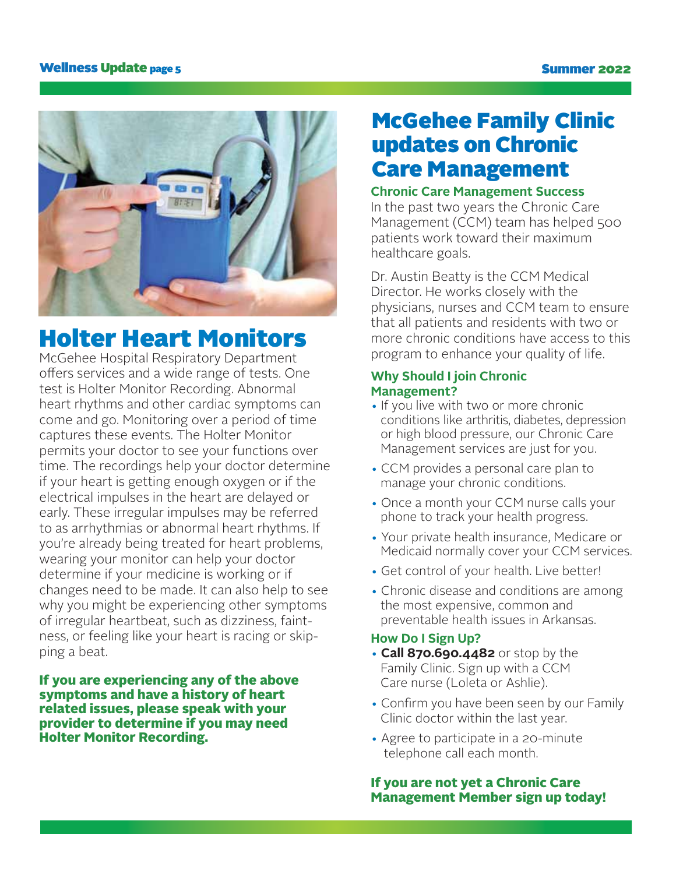#### Wellness Update page 5 Summer 2022



## Holter Heart Monitors

McGehee Hospital Respiratory Department offers services and a wide range of tests. One test is Holter Monitor Recording. Abnormal heart rhythms and other cardiac symptoms can come and go. Monitoring over a period of time captures these events. The Holter Monitor permits your doctor to see your functions over time. The recordings help your doctor determine if your heart is getting enough oxygen or if the electrical impulses in the heart are delayed or early. These irregular impulses may be referred to as arrhythmias or abnormal heart rhythms. If you're already being treated for heart problems, wearing your monitor can help your doctor determine if your medicine is working or if changes need to be made. It can also help to see why you might be experiencing other symptoms of irregular heartbeat, such as dizziness, faintness, or feeling like your heart is racing or skipping a beat.

If you are experiencing any of the above symptoms and have a history of heart related issues, please speak with your provider to determine if you may need Holter Monitor Recording.

## McGehee Family Clinic updates on Chronic Care Management

#### **Chronic Care Management Success**

In the past two years the Chronic Care Management (CCM) team has helped 500 patients work toward their maximum healthcare goals.

Dr. Austin Beatty is the CCM Medical Director. He works closely with the physicians, nurses and CCM team to ensure that all patients and residents with two or more chronic conditions have access to this program to enhance your quality of life.

#### **Why Should I join Chronic Management?**

- If you live with two or more chronic conditions like arthritis, diabetes, depression or high blood pressure, our Chronic Care Management services are just for you.
- CCM provides a personal care plan to manage your chronic conditions.
- Once a month your CCM nurse calls your phone to track your health progress.
- Your private health insurance, Medicare or Medicaid normally cover your CCM services.
- Get control of your health. Live better!
- Chronic disease and conditions are among the most expensive, common and preventable health issues in Arkansas.

#### **How Do I Sign Up?**

- **Call 870.690.4482** or stop by the Family Clinic. Sign up with a CCM Care nurse (Loleta or Ashlie).
- Confirm you have been seen by our Family Clinic doctor within the last year.
- Agree to participate in a 20-minute telephone call each month.

#### If you are not yet a Chronic Care Management Member sign up today!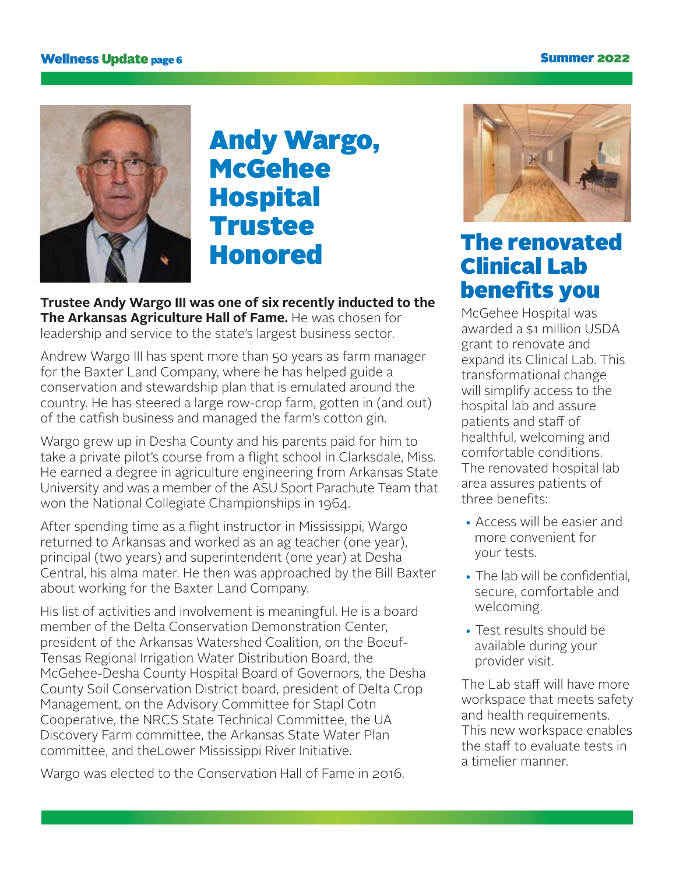#### Wellness Update <sub>page</sub> 6 Summer 2022



## Andy Wargo, **McGehee Hospital** Trustee Honored The renovated

**Trustee Andy Wargo III was one of six recently inducted to the The Arkansas Agriculture Hall of Fame.** He was chosen for leadership and service to the state's largest business sector.

Andrew Wargo III has spent more than 50 years as farm manager for the Baxter Land Company, where he has helped guide a conservation and stewardship plan that is emulated around the country. He has steered a large row-crop farm, gotten in (and out) of the catfish business and managed the farm's cotton gin.

Wargo grew up in Desha County and his parents paid for him to take a private pilot's course from a flight school in Clarksdale, Miss. He earned a degree in agriculture engineering from Arkansas State University and was a member of the ASU Sport Parachute Team that won the National Collegiate Championships in 1964.

After spending time as a flight instructor in Mississippi, Wargo returned to Arkansas and worked as an ag teacher (one year), principal (two years) and superintendent (one year) at Desha Central, his alma mater. He then was approached by the Bill Baxter about working for the Baxter Land Company.

His list of activities and involvement is meaningful. He is a board member of the Delta Conservation Demonstration Center, president of the Arkansas Watershed Coalition, on the Boeuf-Tensas Regional Irrigation Water Distribution Board, the McGehee-Desha County Hospital Board of Governors, the Desha County Soil Conservation District board, president of Delta Crop Management, on the Advisory Committee for Stapl Cotn Cooperative, the NRCS State Technical Committee, the UA Discovery Farm committee, the Arkansas State Water Plan committee, and theLower Mississippi River Initiative.

Wargo was elected to the Conservation Hall of Fame in 2016.



## Clinical Lab benefits you

McGehee Hospital was awarded a \$1 million USDA grant to renovate and expand its Clinical Lab. This transformational change will simplify access to the hospital lab and assure patients and staff of healthful, welcoming and comfortable conditions. The renovated hospital lab area assures patients of three benefits:

- Access will be easier and more convenient for your tests.
- The lab will be confidential, secure, comfortable and welcoming.
- Test results should be available during your provider visit.

The Lab staff will have more workspace that meets safety and health requirements. This new workspace enables the staff to evaluate tests in a timelier manner.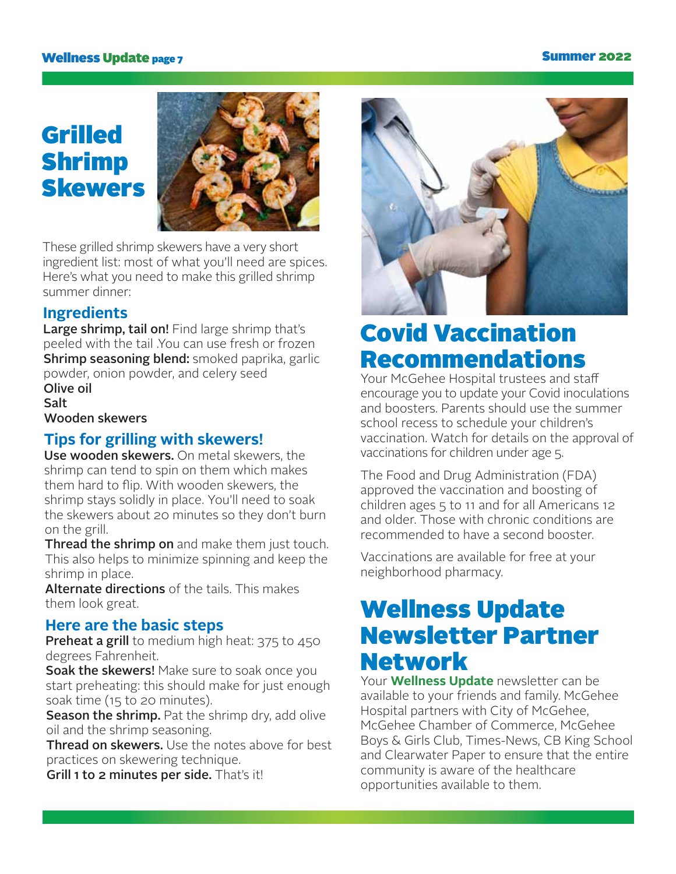#### Wellness Update page 7

#### Summer 2022

## Grilled Shrimp Skewers



These grilled shrimp skewers have a very short ingredient list: most of what you'll need are spices. Here's what you need to make this grilled shrimp summer dinner:

#### **Ingredients**

Large shrimp, tail on! Find large shrimp that's peeled with the tail .You can use fresh or frozen Shrimp seasoning blend: smoked paprika, garlic powder, onion powder, and celery seed Olive oil

**Salt** Wooden skewers

### **Tips for grilling with skewers!**

Use wooden skewers. On metal skewers, the shrimp can tend to spin on them which makes them hard to flip. With wooden skewers, the shrimp stays solidly in place. You'll need to soak the skewers about 20 minutes so they don't burn on the grill.

**Thread the shrimp on** and make them just touch. This also helps to minimize spinning and keep the shrimp in place.

Alternate directions of the tails. This makes them look great.

#### **Here are the basic steps**

Preheat a grill to medium high heat: 375 to 450 degrees Fahrenheit.

Soak the skewers! Make sure to soak once you start preheating: this should make for just enough soak time (15 to 20 minutes).

Season the shrimp. Pat the shrimp dry, add olive oil and the shrimp seasoning.

Thread on skewers. Use the notes above for best practices on skewering technique.

Grill 1 to 2 minutes per side. That's it!



## Covid Vaccination Recommendations

Your McGehee Hospital trustees and sta encourage you to update your Covid inoculations and boosters. Parents should use the summer school recess to schedule your children's vaccination. Watch for details on the approval of vaccinations for children under age 5.

The Food and Drug Administration (FDA) approved the vaccination and boosting of children ages 5 to 11 and for all Americans 12 and older. Those with chronic conditions are recommended to have a second booster.

Vaccinations are available for free at your neighborhood pharmacy.

## Wellness Update Newsletter Partner Network

Your **Wellness Update** newsletter can be available to your friends and family. McGehee Hospital partners with City of McGehee, McGehee Chamber of Commerce, McGehee Boys & Girls Club, Times-News, CB King School and Clearwater Paper to ensure that the entire community is aware of the healthcare opportunities available to them.